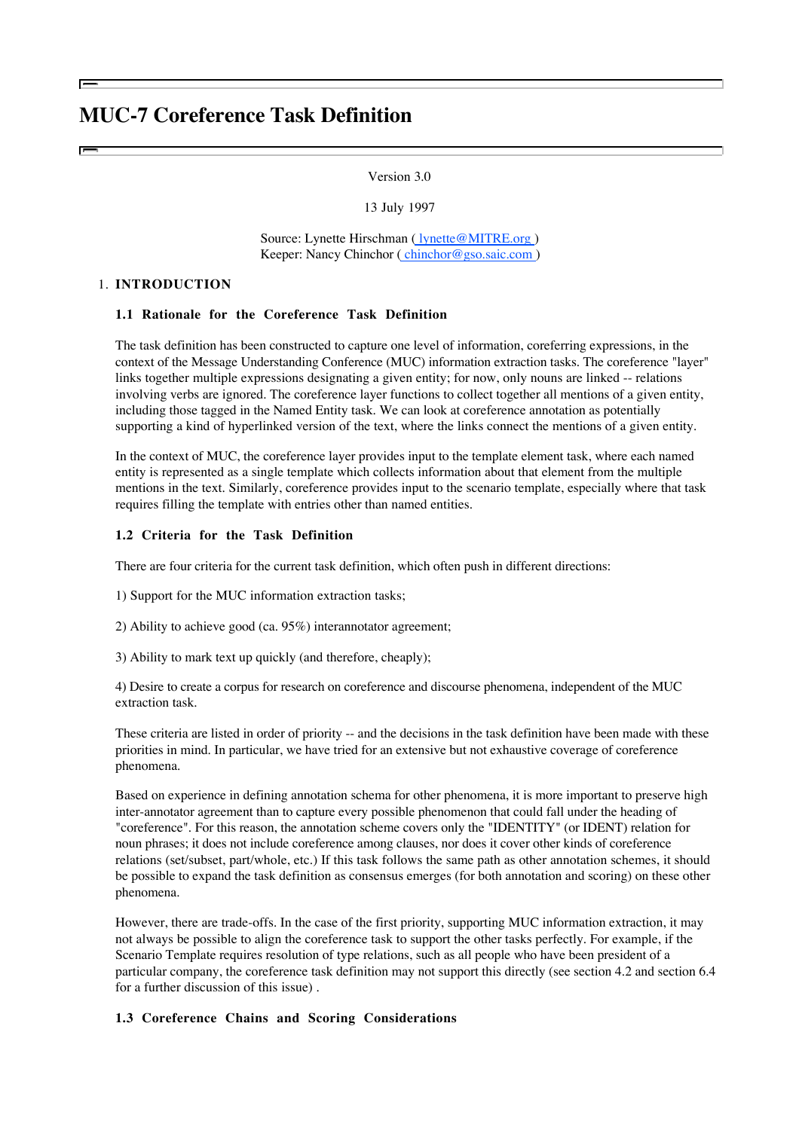# **MUC-7 Coreference Task Definition**

## Version 3.0

13 July 1997

Source: Lynette Hirschman ( lynette@MITRE.org) Keeper: Nancy Chinchor ( chinchor@gso.saic.com )

## 1. **INTRODUCTION**

## **1.1 Rationale for the Coreference Task Definition**

The task definition has been constructed to capture one level of information, coreferring expressions, in the context of the Message Understanding Conference (MUC) information extraction tasks. The coreference "layer" links together multiple expressions designating a given entity; for now, only nouns are linked -- relations involving verbs are ignored. The coreference layer functions to collect together all mentions of a given entity, including those tagged in the Named Entity task. We can look at coreference annotation as potentially supporting a kind of hyperlinked version of the text, where the links connect the mentions of a given entity.

In the context of MUC, the coreference layer provides input to the template element task, where each named entity is represented as a single template which collects information about that element from the multiple mentions in the text. Similarly, coreference provides input to the scenario template, especially where that task requires filling the template with entries other than named entities.

## **1.2 Criteria for the Task Definition**

There are four criteria for the current task definition, which often push in different directions:

1) Support for the MUC information extraction tasks;

2) Ability to achieve good (ca. 95%) interannotator agreement;

3) Ability to mark text up quickly (and therefore, cheaply);

4) Desire to create a corpus for research on coreference and discourse phenomena, independent of the MUC extraction task.

These criteria are listed in order of priority -- and the decisions in the task definition have been made with these priorities in mind. In particular, we have tried for an extensive but not exhaustive coverage of coreference phenomena.

Based on experience in defining annotation schema for other phenomena, it is more important to preserve high inter-annotator agreement than to capture every possible phenomenon that could fall under the heading of "coreference". For this reason, the annotation scheme covers only the "IDENTITY" (or IDENT) relation for noun phrases; it does not include coreference among clauses, nor does it cover other kinds of coreference relations (set/subset, part/whole, etc.) If this task follows the same path as other annotation schemes, it should be possible to expand the task definition as consensus emerges (for both annotation and scoring) on these other phenomena.

However, there are trade-offs. In the case of the first priority, supporting MUC information extraction, it may not always be possible to align the coreference task to support the other tasks perfectly. For example, if the Scenario Template requires resolution of type relations, such as all people who have been president of a particular company, the coreference task definition may not support this directly (see section 4.2 and section 6.4 for a further discussion of this issue) .

## **1.3 Coreference Chains and Scoring Considerations**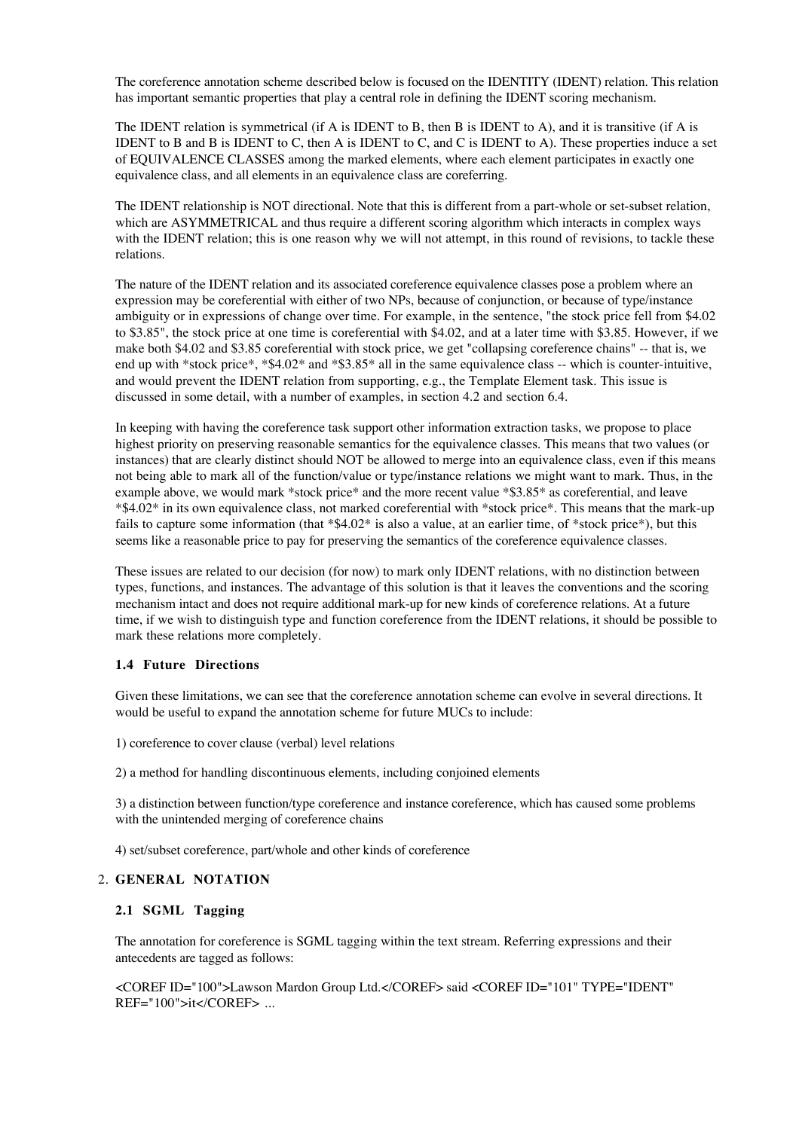The coreference annotation scheme described below is focused on the IDENTITY (IDENT) relation. This relation has important semantic properties that play a central role in defining the IDENT scoring mechanism.

The IDENT relation is symmetrical (if A is IDENT to B, then B is IDENT to A), and it is transitive (if A is IDENT to B and B is IDENT to C, then A is IDENT to C, and C is IDENT to A). These properties induce a set of EQUIVALENCE CLASSES among the marked elements, where each element participates in exactly one equivalence class, and all elements in an equivalence class are coreferring.

The IDENT relationship is NOT directional. Note that this is different from a part-whole or set-subset relation, which are ASYMMETRICAL and thus require a different scoring algorithm which interacts in complex ways with the IDENT relation; this is one reason why we will not attempt, in this round of revisions, to tackle these relations.

The nature of the IDENT relation and its associated coreference equivalence classes pose a problem where an expression may be coreferential with either of two NPs, because of conjunction, or because of type/instance ambiguity or in expressions of change over time. For example, in the sentence, "the stock price fell from \$4.02 to \$3.85", the stock price at one time is coreferential with \$4.02, and at a later time with \$3.85. However, if we make both \$4.02 and \$3.85 coreferential with stock price, we get "collapsing coreference chains" -- that is, we end up with \*stock price\*, \*\$4.02\* and \*\$3.85\* all in the same equivalence class -- which is counter-intuitive, and would prevent the IDENT relation from supporting, e.g., the Template Element task. This issue is discussed in some detail, with a number of examples, in section 4.2 and section 6.4.

In keeping with having the coreference task support other information extraction tasks, we propose to place highest priority on preserving reasonable semantics for the equivalence classes. This means that two values (or instances) that are clearly distinct should NOT be allowed to merge into an equivalence class, even if this means not being able to mark all of the function/value or type/instance relations we might want to mark. Thus, in the example above, we would mark \*stock price\* and the more recent value \*\$3.85\* as coreferential, and leave \*\$4.02\* in its own equivalence class, not marked coreferential with \*stock price\*. This means that the mark-up fails to capture some information (that \*\$4.02\* is also a value, at an earlier time, of \*stock price\*), but this seems like a reasonable price to pay for preserving the semantics of the coreference equivalence classes.

These issues are related to our decision (for now) to mark only IDENT relations, with no distinction between types, functions, and instances. The advantage of this solution is that it leaves the conventions and the scoring mechanism intact and does not require additional mark-up for new kinds of coreference relations. At a future time, if we wish to distinguish type and function coreference from the IDENT relations, it should be possible to mark these relations more completely.

## **1.4 Future Directions**

Given these limitations, we can see that the coreference annotation scheme can evolve in several directions. It would be useful to expand the annotation scheme for future MUCs to include:

1) coreference to cover clause (verbal) level relations

2) a method for handling discontinuous elements, including conjoined elements

3) a distinction between function/type coreference and instance coreference, which has caused some problems with the unintended merging of coreference chains

4) set/subset coreference, part/whole and other kinds of coreference

#### **GENERAL NOTATION** 2.

#### **2.1 SGML Tagging**

The annotation for coreference is SGML tagging within the text stream. Referring expressions and their antecedents are tagged as follows:

<COREF ID="100">Lawson Mardon Group Ltd.</COREF> said <COREF ID="101" TYPE="IDENT" REF="100">it</COREF> ...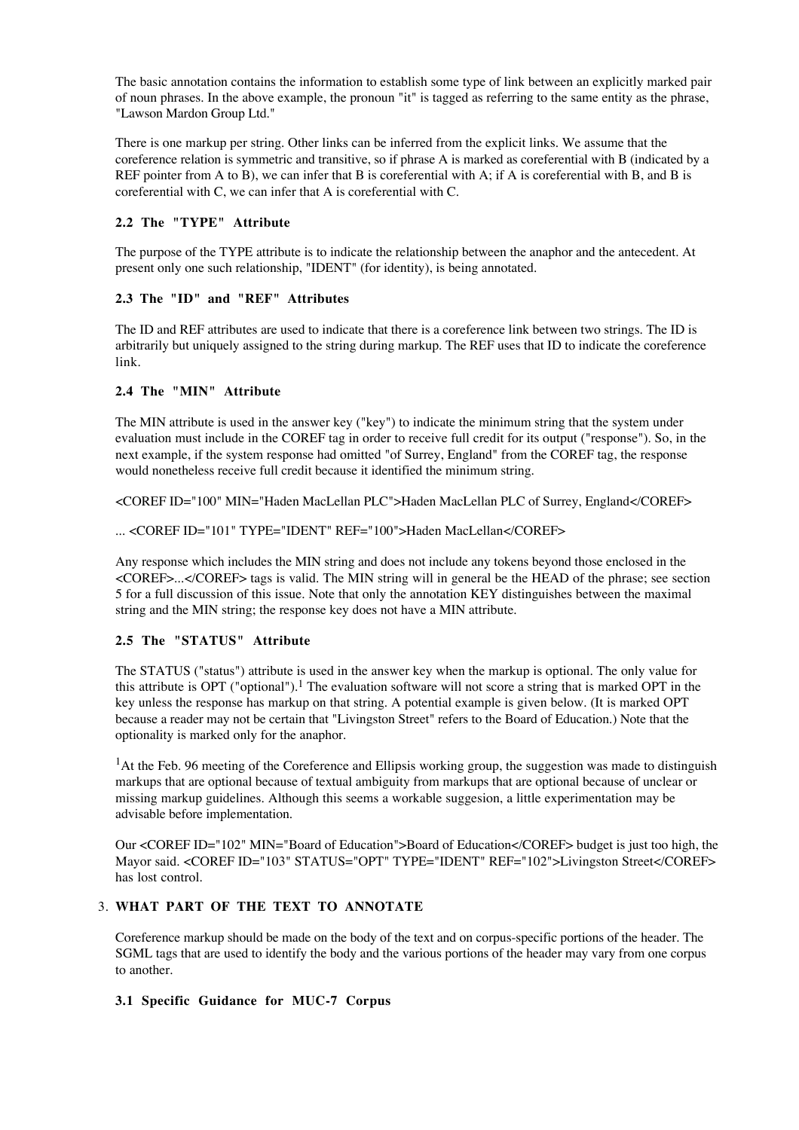The basic annotation contains the information to establish some type of link between an explicitly marked pair of noun phrases. In the above example, the pronoun "it" is tagged as referring to the same entity as the phrase, "Lawson Mardon Group Ltd."

There is one markup per string. Other links can be inferred from the explicit links. We assume that the coreference relation is symmetric and transitive, so if phrase A is marked as coreferential with B (indicated by a REF pointer from A to B), we can infer that B is coreferential with A; if A is coreferential with B, and B is coreferential with C, we can infer that A is coreferential with C.

# **2.2 The "TYPE" Attribute**

The purpose of the TYPE attribute is to indicate the relationship between the anaphor and the antecedent. At present only one such relationship, "IDENT" (for identity), is being annotated.

# **2.3 The "ID" and "REF" Attributes**

The ID and REF attributes are used to indicate that there is a coreference link between two strings. The ID is arbitrarily but uniquely assigned to the string during markup. The REF uses that ID to indicate the coreference link.

# **2.4 The "MIN" Attribute**

The MIN attribute is used in the answer key ("key") to indicate the minimum string that the system under evaluation must include in the COREF tag in order to receive full credit for its output ("response"). So, in the next example, if the system response had omitted "of Surrey, England" from the COREF tag, the response would nonetheless receive full credit because it identified the minimum string.

<COREF ID="100" MIN="Haden MacLellan PLC">Haden MacLellan PLC of Surrey, England</COREF>

... <COREF ID="101" TYPE="IDENT" REF="100">Haden MacLellan</COREF>

Any response which includes the MIN string and does not include any tokens beyond those enclosed in the <COREF>...</COREF> tags is valid. The MIN string will in general be the HEAD of the phrase; see section 5 for a full discussion of this issue. Note that only the annotation KEY distinguishes between the maximal string and the MIN string; the response key does not have a MIN attribute.

## **2.5 The "STATUS" Attribute**

The STATUS ("status") attribute is used in the answer key when the markup is optional. The only value for this attribute is OPT ("optional").<sup>1</sup> The evaluation software will not score a string that is marked OPT in the key unless the response has markup on that string. A potential example is given below. (It is marked OPT because a reader may not be certain that "Livingston Street" refers to the Board of Education.) Note that the optionality is marked only for the anaphor.

<sup>1</sup>At the Feb. 96 meeting of the Coreference and Ellipsis working group, the suggestion was made to distinguish markups that are optional because of textual ambiguity from markups that are optional because of unclear or missing markup guidelines. Although this seems a workable suggesion, a little experimentation may be advisable before implementation.

Our <COREF ID="102" MIN="Board of Education">Board of Education</COREF> budget is just too high, the Mayor said. <COREF ID="103" STATUS="OPT" TYPE="IDENT" REF="102">Livingston Street</COREF> has lost control.

# **WHAT PART OF THE TEXT TO ANNOTATE** 3.

Coreference markup should be made on the body of the text and on corpus-specific portions of the header. The SGML tags that are used to identify the body and the various portions of the header may vary from one corpus to another.

## **3.1 Specific Guidance for MUC-7 Corpus**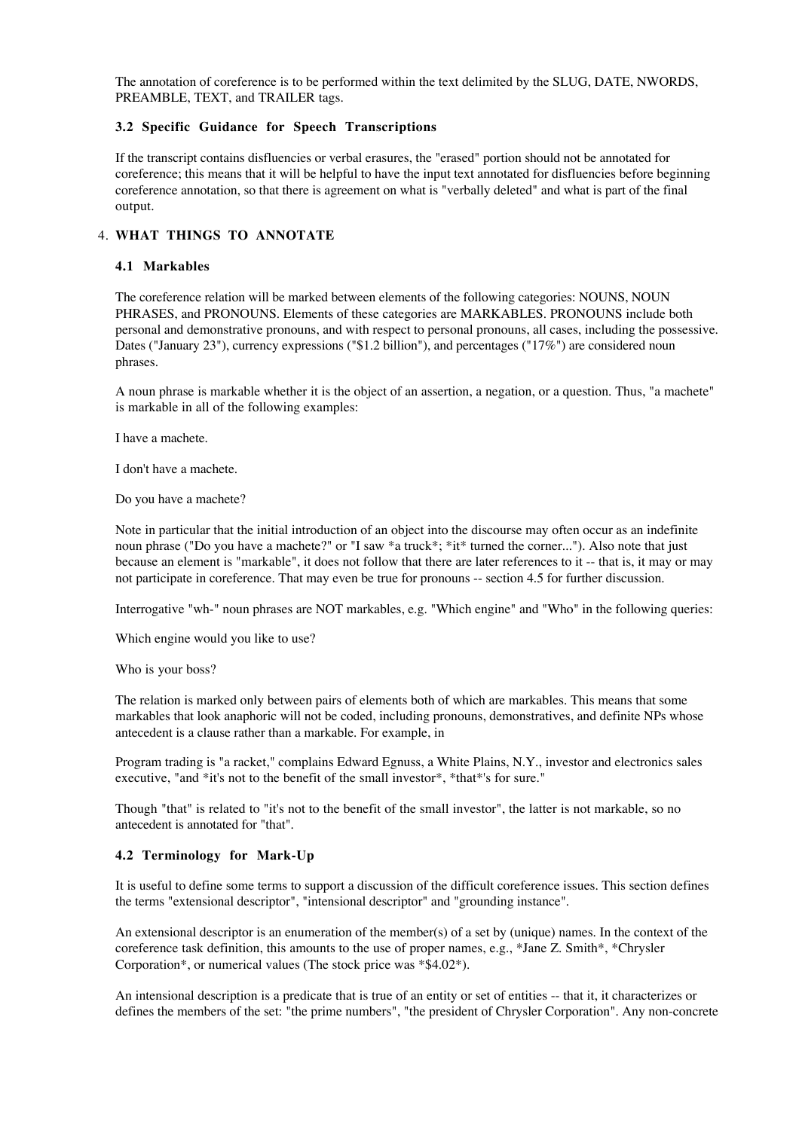The annotation of coreference is to be performed within the text delimited by the SLUG, DATE, NWORDS, PREAMBLE, TEXT, and TRAILER tags.

## **3.2 Specific Guidance for Speech Transcriptions**

If the transcript contains disfluencies or verbal erasures, the "erased" portion should not be annotated for coreference; this means that it will be helpful to have the input text annotated for disfluencies before beginning coreference annotation, so that there is agreement on what is "verbally deleted" and what is part of the final output.

# **WHAT THINGS TO ANNOTATE** 4.

## **4.1 Markables**

The coreference relation will be marked between elements of the following categories: NOUNS, NOUN PHRASES, and PRONOUNS. Elements of these categories are MARKABLES. PRONOUNS include both personal and demonstrative pronouns, and with respect to personal pronouns, all cases, including the possessive. Dates ("January 23"), currency expressions ("\$1.2 billion"), and percentages ("17%") are considered noun phrases.

A noun phrase is markable whether it is the object of an assertion, a negation, or a question. Thus, "a machete" is markable in all of the following examples:

I have a machete.

I don't have a machete.

Do you have a machete?

Note in particular that the initial introduction of an object into the discourse may often occur as an indefinite noun phrase ("Do you have a machete?" or "I saw \*a truck\*; \*it\* turned the corner..."). Also note that just because an element is "markable", it does not follow that there are later references to it -- that is, it may or may not participate in coreference. That may even be true for pronouns -- section 4.5 for further discussion.

Interrogative "wh-" noun phrases are NOT markables, e.g. "Which engine" and "Who" in the following queries:

Which engine would you like to use?

Who is your boss?

The relation is marked only between pairs of elements both of which are markables. This means that some markables that look anaphoric will not be coded, including pronouns, demonstratives, and definite NPs whose antecedent is a clause rather than a markable. For example, in

Program trading is "a racket," complains Edward Egnuss, a White Plains, N.Y., investor and electronics sales executive, "and \*it's not to the benefit of the small investor\*, \*that\*'s for sure."

Though "that" is related to "it's not to the benefit of the small investor", the latter is not markable, so no antecedent is annotated for "that".

## **4.2 Terminology for Mark-Up**

It is useful to define some terms to support a discussion of the difficult coreference issues. This section defines the terms "extensional descriptor", "intensional descriptor" and "grounding instance".

An extensional descriptor is an enumeration of the member(s) of a set by (unique) names. In the context of the coreference task definition, this amounts to the use of proper names, e.g., \*Jane Z. Smith\*, \*Chrysler Corporation\*, or numerical values (The stock price was \*\$4.02\*).

An intensional description is a predicate that is true of an entity or set of entities -- that it, it characterizes or defines the members of the set: "the prime numbers", "the president of Chrysler Corporation". Any non-concrete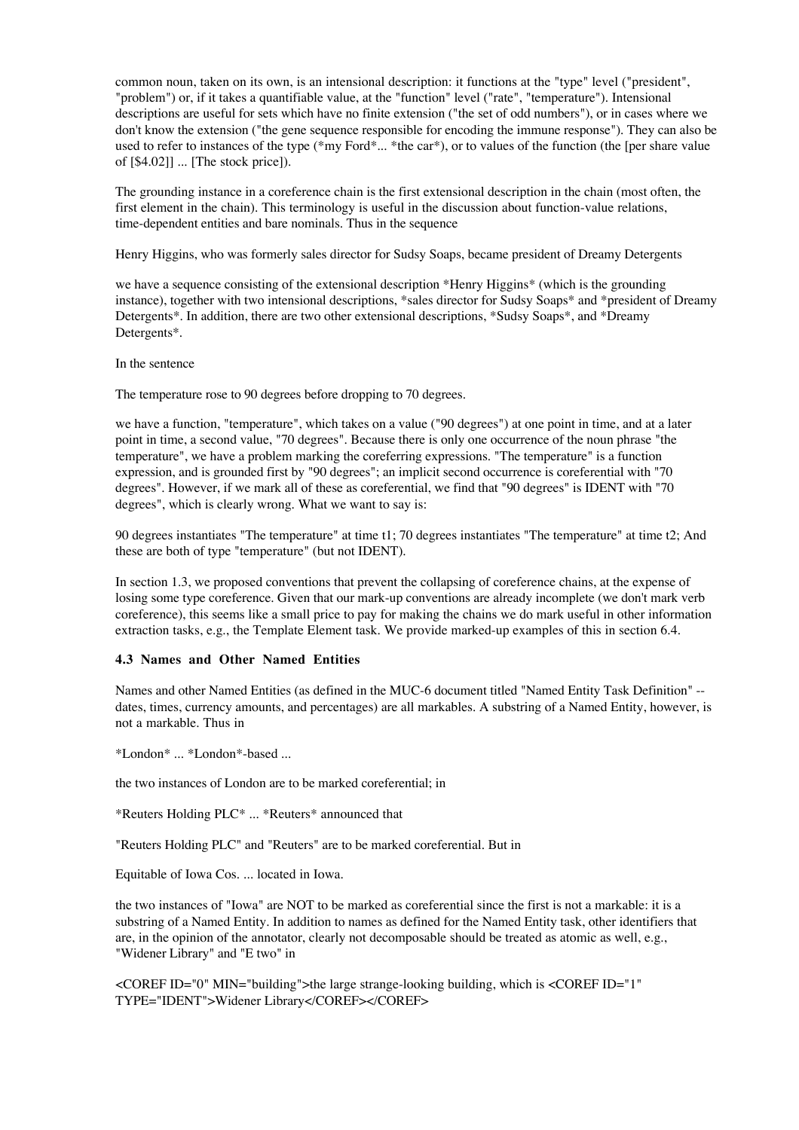common noun, taken on its own, is an intensional description: it functions at the "type" level ("president", "problem") or, if it takes a quantifiable value, at the "function" level ("rate", "temperature"). Intensional descriptions are useful for sets which have no finite extension ("the set of odd numbers"), or in cases where we don't know the extension ("the gene sequence responsible for encoding the immune response"). They can also be used to refer to instances of the type (\*my Ford\*... \*the car\*), or to values of the function (the [per share value of [\$4.02]] ... [The stock price]).

The grounding instance in a coreference chain is the first extensional description in the chain (most often, the first element in the chain). This terminology is useful in the discussion about function-value relations, time-dependent entities and bare nominals. Thus in the sequence

Henry Higgins, who was formerly sales director for Sudsy Soaps, became president of Dreamy Detergents

we have a sequence consisting of the extensional description \*Henry Higgins\* (which is the grounding instance), together with two intensional descriptions, \*sales director for Sudsy Soaps\* and \*president of Dreamy Detergents\*. In addition, there are two other extensional descriptions, \*Sudsy Soaps\*, and \*Dreamy Detergents\*.

In the sentence

The temperature rose to 90 degrees before dropping to 70 degrees.

we have a function, "temperature", which takes on a value ("90 degrees") at one point in time, and at a later point in time, a second value, "70 degrees". Because there is only one occurrence of the noun phrase "the temperature", we have a problem marking the coreferring expressions. "The temperature" is a function expression, and is grounded first by "90 degrees"; an implicit second occurrence is coreferential with "70 degrees". However, if we mark all of these as coreferential, we find that "90 degrees" is IDENT with "70 degrees", which is clearly wrong. What we want to say is:

90 degrees instantiates "The temperature" at time t1; 70 degrees instantiates "The temperature" at time t2; And these are both of type "temperature" (but not IDENT).

In section 1.3, we proposed conventions that prevent the collapsing of coreference chains, at the expense of losing some type coreference. Given that our mark-up conventions are already incomplete (we don't mark verb coreference), this seems like a small price to pay for making the chains we do mark useful in other information extraction tasks, e.g., the Template Element task. We provide marked-up examples of this in section 6.4.

## **4.3 Names and Other Named Entities**

Names and other Named Entities (as defined in the MUC-6 document titled "Named Entity Task Definition" - dates, times, currency amounts, and percentages) are all markables. A substring of a Named Entity, however, is not a markable. Thus in

\*London\* ... \*London\*-based ...

the two instances of London are to be marked coreferential; in

\*Reuters Holding PLC\* ... \*Reuters\* announced that

"Reuters Holding PLC" and "Reuters" are to be marked coreferential. But in

Equitable of Iowa Cos. ... located in Iowa.

the two instances of "Iowa" are NOT to be marked as coreferential since the first is not a markable: it is a substring of a Named Entity. In addition to names as defined for the Named Entity task, other identifiers that are, in the opinion of the annotator, clearly not decomposable should be treated as atomic as well, e.g., "Widener Library" and "E two" in

<COREF ID="0" MIN="building">the large strange-looking building, which is <COREF ID="1" TYPE="IDENT">Widener Library</COREF></COREF>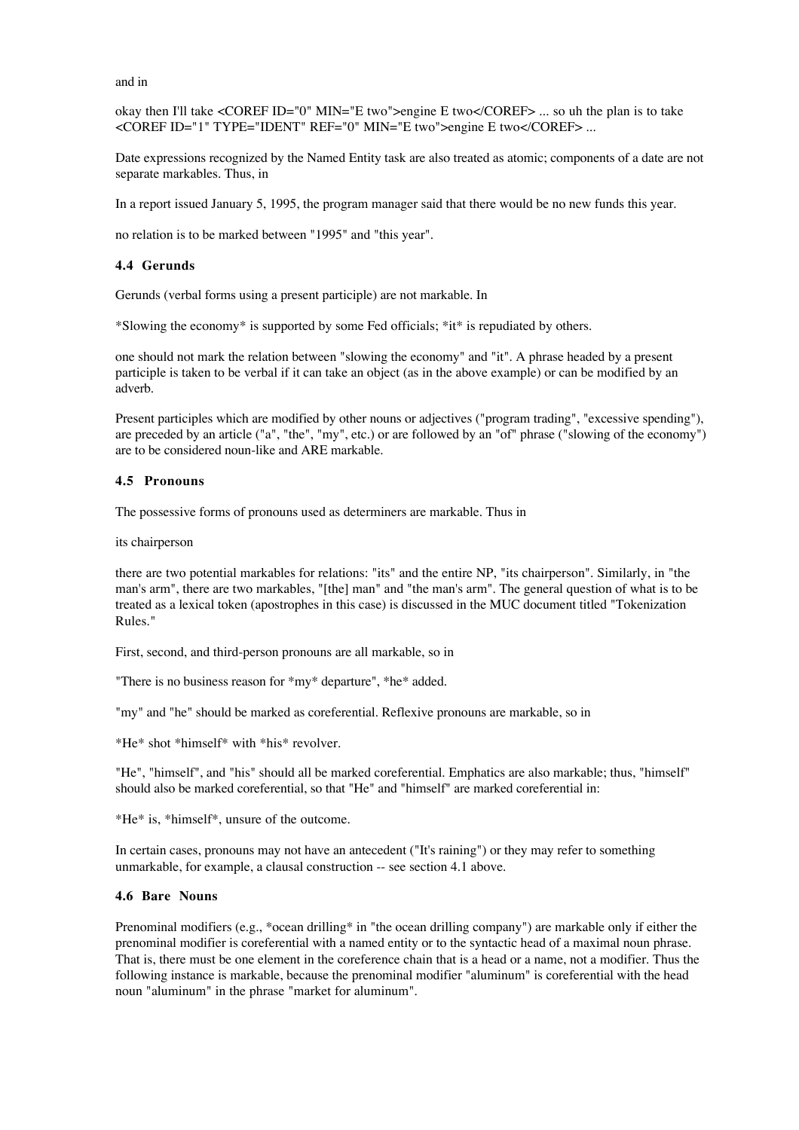and in

okay then I'll take <COREF ID="0" MIN="E two">engine E two</COREF> ... so uh the plan is to take <COREF ID="1" TYPE="IDENT" REF="0" MIN="E two">engine E two</COREF> ...

Date expressions recognized by the Named Entity task are also treated as atomic; components of a date are not separate markables. Thus, in

In a report issued January 5, 1995, the program manager said that there would be no new funds this year.

no relation is to be marked between "1995" and "this year".

#### **4.4 Gerunds**

Gerunds (verbal forms using a present participle) are not markable. In

\*Slowing the economy\* is supported by some Fed officials; \*it\* is repudiated by others.

one should not mark the relation between "slowing the economy" and "it". A phrase headed by a present participle is taken to be verbal if it can take an object (as in the above example) or can be modified by an adverb.

Present participles which are modified by other nouns or adjectives ("program trading", "excessive spending"), are preceded by an article ("a", "the", "my", etc.) or are followed by an "of" phrase ("slowing of the economy") are to be considered noun-like and ARE markable.

#### **4.5 Pronouns**

The possessive forms of pronouns used as determiners are markable. Thus in

its chairperson

there are two potential markables for relations: "its" and the entire NP, "its chairperson". Similarly, in "the man's arm", there are two markables, "[the] man" and "the man's arm". The general question of what is to be treated as a lexical token (apostrophes in this case) is discussed in the MUC document titled "Tokenization Rules."

First, second, and third-person pronouns are all markable, so in

"There is no business reason for \*my\* departure", \*he\* added.

"my" and "he" should be marked as coreferential. Reflexive pronouns are markable, so in

\*He\* shot \*himself\* with \*his\* revolver.

"He", "himself", and "his" should all be marked coreferential. Emphatics are also markable; thus, "himself" should also be marked coreferential, so that "He" and "himself" are marked coreferential in:

\*He\* is, \*himself\*, unsure of the outcome.

In certain cases, pronouns may not have an antecedent ("It's raining") or they may refer to something unmarkable, for example, a clausal construction -- see section 4.1 above.

## **4.6 Bare Nouns**

Prenominal modifiers (e.g., \*ocean drilling\* in "the ocean drilling company") are markable only if either the prenominal modifier is coreferential with a named entity or to the syntactic head of a maximal noun phrase. That is, there must be one element in the coreference chain that is a head or a name, not a modifier. Thus the following instance is markable, because the prenominal modifier "aluminum" is coreferential with the head noun "aluminum" in the phrase "market for aluminum".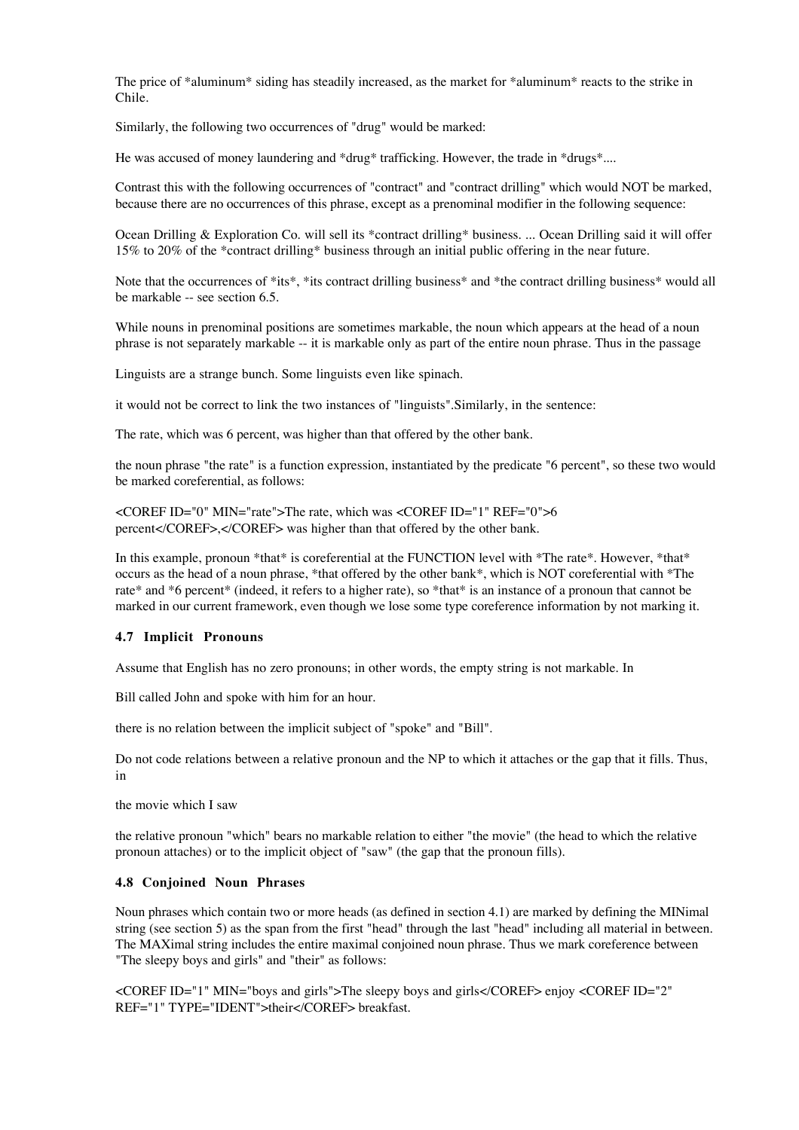The price of \*aluminum\* siding has steadily increased, as the market for \*aluminum\* reacts to the strike in Chile.

Similarly, the following two occurrences of "drug" would be marked:

He was accused of money laundering and \*drug\* trafficking. However, the trade in \*drugs\*....

Contrast this with the following occurrences of "contract" and "contract drilling" which would NOT be marked, because there are no occurrences of this phrase, except as a prenominal modifier in the following sequence:

Ocean Drilling & Exploration Co. will sell its \*contract drilling\* business. ... Ocean Drilling said it will offer 15% to 20% of the \*contract drilling\* business through an initial public offering in the near future.

Note that the occurrences of \*its\*, \*its contract drilling business\* and \*the contract drilling business\* would all be markable -- see section 6.5.

While nouns in prenominal positions are sometimes markable, the noun which appears at the head of a noun phrase is not separately markable -- it is markable only as part of the entire noun phrase. Thus in the passage

Linguists are a strange bunch. Some linguists even like spinach.

it would not be correct to link the two instances of "linguists".Similarly, in the sentence:

The rate, which was 6 percent, was higher than that offered by the other bank.

the noun phrase "the rate" is a function expression, instantiated by the predicate "6 percent", so these two would be marked coreferential, as follows:

<COREF ID="0" MIN="rate">The rate, which was <COREF ID="1" REF="0">6 percent</COREF>,</COREF> was higher than that offered by the other bank.

In this example, pronoun \*that\* is coreferential at the FUNCTION level with \*The rate\*. However, \*that\* occurs as the head of a noun phrase, \*that offered by the other bank\*, which is NOT coreferential with \*The rate\* and \*6 percent\* (indeed, it refers to a higher rate), so \*that\* is an instance of a pronoun that cannot be marked in our current framework, even though we lose some type coreference information by not marking it.

## **4.7 Implicit Pronouns**

Assume that English has no zero pronouns; in other words, the empty string is not markable. In

Bill called John and spoke with him for an hour.

there is no relation between the implicit subject of "spoke" and "Bill".

Do not code relations between a relative pronoun and the NP to which it attaches or the gap that it fills. Thus, in

the movie which I saw

the relative pronoun "which" bears no markable relation to either "the movie" (the head to which the relative pronoun attaches) or to the implicit object of "saw" (the gap that the pronoun fills).

#### **4.8 Conjoined Noun Phrases**

Noun phrases which contain two or more heads (as defined in section 4.1) are marked by defining the MINimal string (see section 5) as the span from the first "head" through the last "head" including all material in between. The MAXimal string includes the entire maximal conjoined noun phrase. Thus we mark coreference between "The sleepy boys and girls" and "their" as follows:

<COREF ID="1" MIN="boys and girls">The sleepy boys and girls</COREF> enjoy <COREF ID="2" REF="1" TYPE="IDENT">their</COREF> breakfast.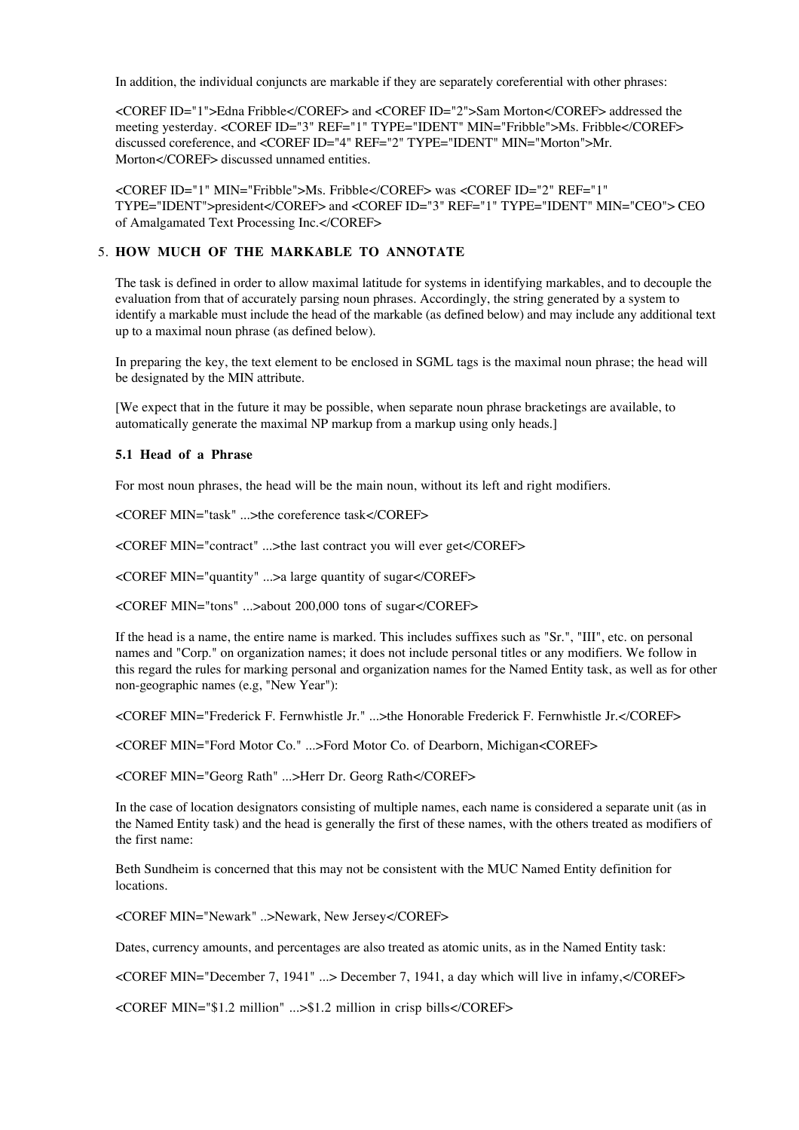In addition, the individual conjuncts are markable if they are separately coreferential with other phrases:

<COREF ID="1">Edna Fribble</COREF> and <COREF ID="2">Sam Morton</COREF> addressed the meeting yesterday. <COREF ID="3" REF="1" TYPE="IDENT" MIN="Fribble">Ms. Fribble</COREF> discussed coreference, and <COREF ID="4" REF="2" TYPE="IDENT" MIN="Morton">Mr. Morton</COREF> discussed unnamed entities.

<COREF ID="1" MIN="Fribble">Ms. Fribble</COREF> was <COREF ID="2" REF="1" TYPE="IDENT">president</COREF> and <COREF ID="3" REF="1" TYPE="IDENT" MIN="CEO"> CEO of Amalgamated Text Processing Inc.</COREF>

## **HOW MUCH OF THE MARKABLE TO ANNOTATE** 5.

The task is defined in order to allow maximal latitude for systems in identifying markables, and to decouple the evaluation from that of accurately parsing noun phrases. Accordingly, the string generated by a system to identify a markable must include the head of the markable (as defined below) and may include any additional text up to a maximal noun phrase (as defined below).

In preparing the key, the text element to be enclosed in SGML tags is the maximal noun phrase; the head will be designated by the MIN attribute.

[We expect that in the future it may be possible, when separate noun phrase bracketings are available, to automatically generate the maximal NP markup from a markup using only heads.]

#### **5.1 Head of a Phrase**

For most noun phrases, the head will be the main noun, without its left and right modifiers.

<COREF MIN="task" ...>the coreference task</COREF>

<COREF MIN="contract" ...>the last contract you will ever get</COREF>

<COREF MIN="quantity" ...>a large quantity of sugar</COREF>

<COREF MIN="tons" ...>about 200,000 tons of sugar</COREF>

If the head is a name, the entire name is marked. This includes suffixes such as "Sr.", "III", etc. on personal names and "Corp." on organization names; it does not include personal titles or any modifiers. We follow in this regard the rules for marking personal and organization names for the Named Entity task, as well as for other non-geographic names (e.g, "New Year"):

<COREF MIN="Frederick F. Fernwhistle Jr." ...>the Honorable Frederick F. Fernwhistle Jr.</COREF>

<COREF MIN="Ford Motor Co." ...>Ford Motor Co. of Dearborn, Michigan<COREF>

<COREF MIN="Georg Rath" ...>Herr Dr. Georg Rath</COREF>

In the case of location designators consisting of multiple names, each name is considered a separate unit (as in the Named Entity task) and the head is generally the first of these names, with the others treated as modifiers of the first name:

Beth Sundheim is concerned that this may not be consistent with the MUC Named Entity definition for locations.

<COREF MIN="Newark" ..>Newark, New Jersey</COREF>

Dates, currency amounts, and percentages are also treated as atomic units, as in the Named Entity task:

<COREF MIN="December 7, 1941" ...> December 7, 1941, a day which will live in infamy,</COREF>

<COREF MIN="\$1.2 million" ...>\$1.2 million in crisp bills</COREF>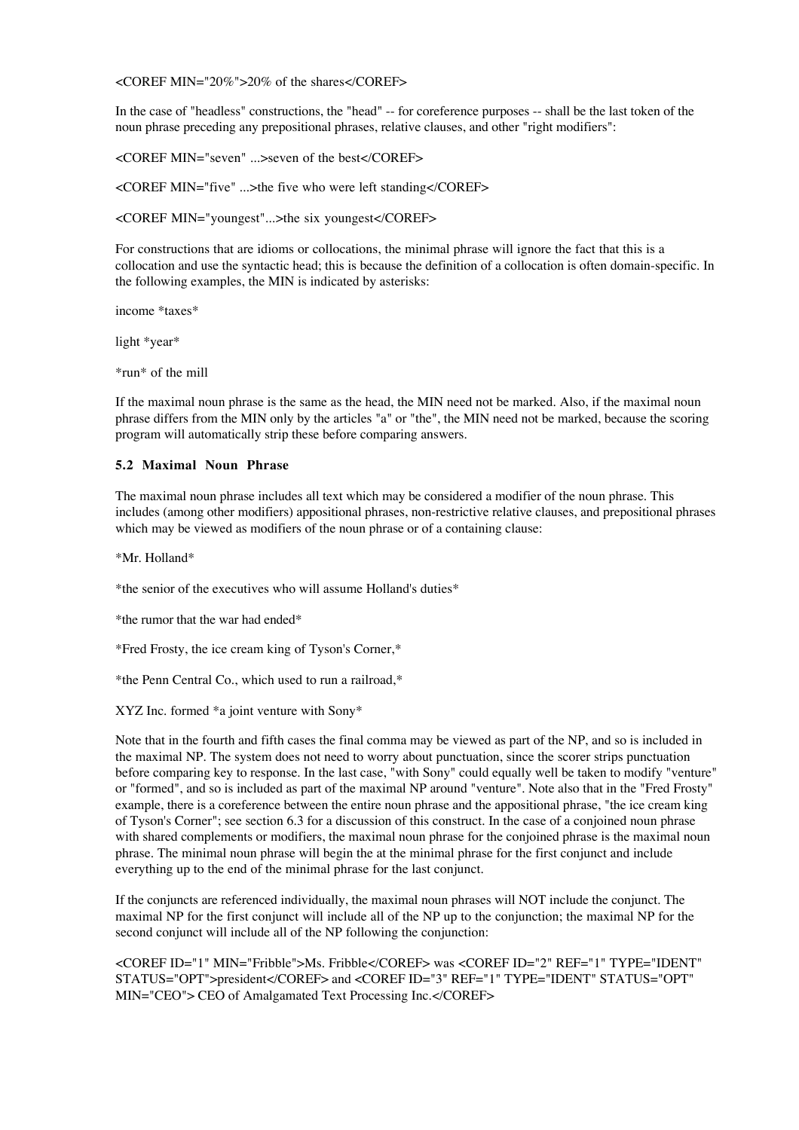<COREF MIN="20%">20% of the shares</COREF>

In the case of "headless" constructions, the "head" -- for coreference purposes -- shall be the last token of the noun phrase preceding any prepositional phrases, relative clauses, and other "right modifiers":

<COREF MIN="seven" ...>seven of the best</COREF>

<COREF MIN="five" ...>the five who were left standing</COREF>

<COREF MIN="youngest"...>the six youngest</COREF>

For constructions that are idioms or collocations, the minimal phrase will ignore the fact that this is a collocation and use the syntactic head; this is because the definition of a collocation is often domain-specific. In the following examples, the MIN is indicated by asterisks:

income \*taxes\*

light \*year\*

\*run\* of the mill

If the maximal noun phrase is the same as the head, the MIN need not be marked. Also, if the maximal noun phrase differs from the MIN only by the articles "a" or "the", the MIN need not be marked, because the scoring program will automatically strip these before comparing answers.

## **5.2 Maximal Noun Phrase**

The maximal noun phrase includes all text which may be considered a modifier of the noun phrase. This includes (among other modifiers) appositional phrases, non-restrictive relative clauses, and prepositional phrases which may be viewed as modifiers of the noun phrase or of a containing clause:

\*Mr. Holland\*

\*the senior of the executives who will assume Holland's duties\*

\*the rumor that the war had ended\*

\*Fred Frosty, the ice cream king of Tyson's Corner,\*

\*the Penn Central Co., which used to run a railroad,\*

XYZ Inc. formed \*a joint venture with Sony\*

Note that in the fourth and fifth cases the final comma may be viewed as part of the NP, and so is included in the maximal NP. The system does not need to worry about punctuation, since the scorer strips punctuation before comparing key to response. In the last case, "with Sony" could equally well be taken to modify "venture" or "formed", and so is included as part of the maximal NP around "venture". Note also that in the "Fred Frosty" example, there is a coreference between the entire noun phrase and the appositional phrase, "the ice cream king of Tyson's Corner"; see section 6.3 for a discussion of this construct. In the case of a conjoined noun phrase with shared complements or modifiers, the maximal noun phrase for the conjoined phrase is the maximal noun phrase. The minimal noun phrase will begin the at the minimal phrase for the first conjunct and include everything up to the end of the minimal phrase for the last conjunct.

If the conjuncts are referenced individually, the maximal noun phrases will NOT include the conjunct. The maximal NP for the first conjunct will include all of the NP up to the conjunction; the maximal NP for the second conjunct will include all of the NP following the conjunction:

<COREF ID="1" MIN="Fribble">Ms. Fribble</COREF> was <COREF ID="2" REF="1" TYPE="IDENT" STATUS="OPT">president</COREF> and <COREF ID="3" REF="1" TYPE="IDENT" STATUS="OPT" MIN="CEO"> CEO of Amalgamated Text Processing Inc.</COREF>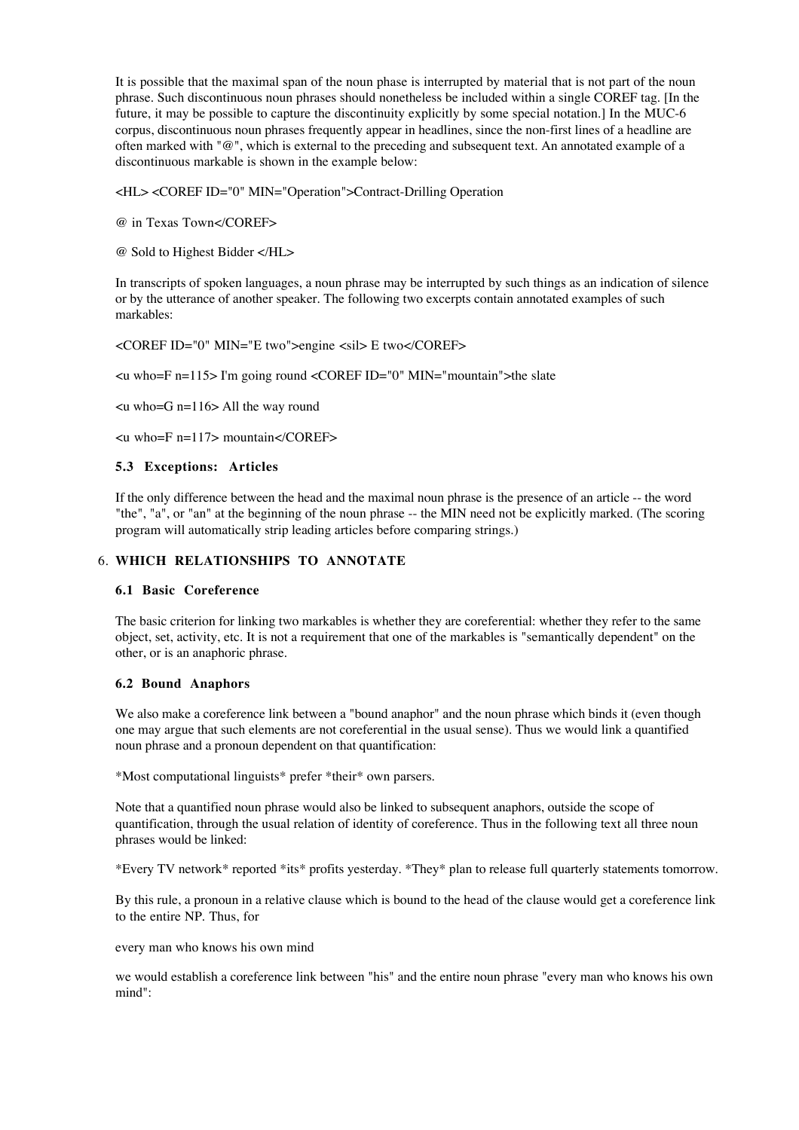It is possible that the maximal span of the noun phase is interrupted by material that is not part of the noun phrase. Such discontinuous noun phrases should nonetheless be included within a single COREF tag. [In the future, it may be possible to capture the discontinuity explicitly by some special notation.] In the MUC-6 corpus, discontinuous noun phrases frequently appear in headlines, since the non-first lines of a headline are often marked with "@", which is external to the preceding and subsequent text. An annotated example of a discontinuous markable is shown in the example below:

<HL> <COREF ID="0" MIN="Operation">Contract-Drilling Operation

@ in Texas Town</COREF>

@ Sold to Highest Bidder </HL>

In transcripts of spoken languages, a noun phrase may be interrupted by such things as an indication of silence or by the utterance of another speaker. The following two excerpts contain annotated examples of such markables:

<COREF ID="0" MIN="E two">engine <sil> E two</COREF>

 $\alpha$  who=F n=115> I'm going round  $\alpha$  < COREF ID="0" MIN="mountain">the slate

 $\leq$ u who=G n=116> All the way round

 $\leq$ u who=F n=117> mountain $\leq$ /COREF>

#### **5.3 Exceptions: Articles**

If the only difference between the head and the maximal noun phrase is the presence of an article -- the word "the", "a", or "an" at the beginning of the noun phrase -- the MIN need not be explicitly marked. (The scoring program will automatically strip leading articles before comparing strings.)

## **WHICH RELATIONSHIPS TO ANNOTATE** 6.

#### **6.1 Basic Coreference**

The basic criterion for linking two markables is whether they are coreferential: whether they refer to the same object, set, activity, etc. It is not a requirement that one of the markables is "semantically dependent" on the other, or is an anaphoric phrase.

#### **6.2 Bound Anaphors**

We also make a coreference link between a "bound anaphor" and the noun phrase which binds it (even though one may argue that such elements are not coreferential in the usual sense). Thus we would link a quantified noun phrase and a pronoun dependent on that quantification:

\*Most computational linguists\* prefer \*their\* own parsers.

Note that a quantified noun phrase would also be linked to subsequent anaphors, outside the scope of quantification, through the usual relation of identity of coreference. Thus in the following text all three noun phrases would be linked:

\*Every TV network\* reported \*its\* profits yesterday. \*They\* plan to release full quarterly statements tomorrow.

By this rule, a pronoun in a relative clause which is bound to the head of the clause would get a coreference link to the entire NP. Thus, for

every man who knows his own mind

we would establish a coreference link between "his" and the entire noun phrase "every man who knows his own mind":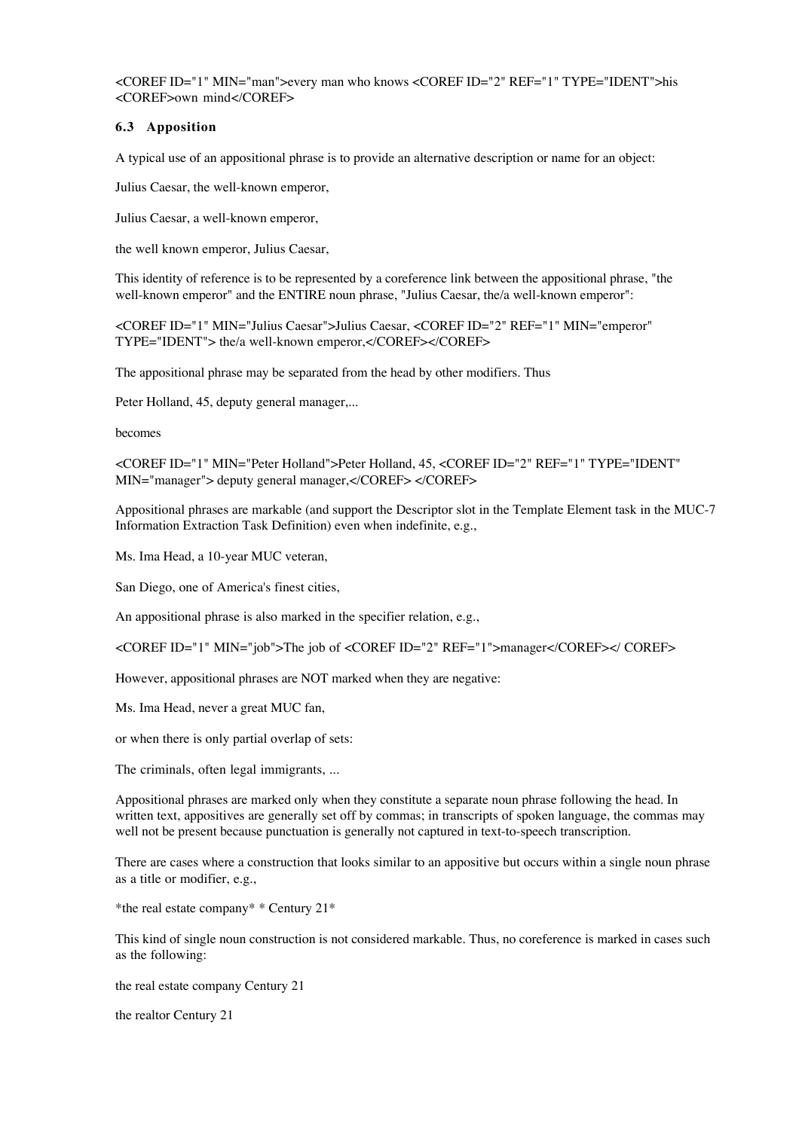<COREF ID="1" MIN="man">every man who knows <COREF ID="2" REF="1" TYPE="IDENT">his <COREF>own mind</COREF>

## **6.3 Apposition**

A typical use of an appositional phrase is to provide an alternative description or name for an object:

Julius Caesar, the well-known emperor,

Julius Caesar, a well-known emperor,

the well known emperor, Julius Caesar,

This identity of reference is to be represented by a coreference link between the appositional phrase, "the well-known emperor" and the ENTIRE noun phrase, "Julius Caesar, the/a well-known emperor":

<COREF ID="1" MIN="Julius Caesar">Julius Caesar, <COREF ID="2" REF="1" MIN="emperor" TYPE="IDENT"> the/a well-known emperor,</COREF></COREF>

The appositional phrase may be separated from the head by other modifiers. Thus

Peter Holland, 45, deputy general manager,...

becomes

<COREF ID="1" MIN="Peter Holland">Peter Holland, 45, <COREF ID="2" REF="1" TYPE="IDENT" MIN="manager"> deputy general manager,</COREF> </COREF>

Appositional phrases are markable (and support the Descriptor slot in the Template Element task in the MUC-7 Information Extraction Task Definition) even when indefinite, e.g.,

Ms. Ima Head, a 10-year MUC veteran,

San Diego, one of America's finest cities,

An appositional phrase is also marked in the specifier relation, e.g.,

<COREF ID="1" MIN="job">The job of <COREF ID="2" REF="1">manager</COREF></ COREF>

However, appositional phrases are NOT marked when they are negative:

Ms. Ima Head, never a great MUC fan,

or when there is only partial overlap of sets:

The criminals, often legal immigrants, ...

Appositional phrases are marked only when they constitute a separate noun phrase following the head. In written text, appositives are generally set off by commas; in transcripts of spoken language, the commas may well not be present because punctuation is generally not captured in text-to-speech transcription.

There are cases where a construction that looks similar to an appositive but occurs within a single noun phrase as a title or modifier, e.g.,

\*the real estate company\* \* Century 21\*

This kind of single noun construction is not considered markable. Thus, no coreference is marked in cases such as the following:

the real estate company Century 21

the realtor Century 21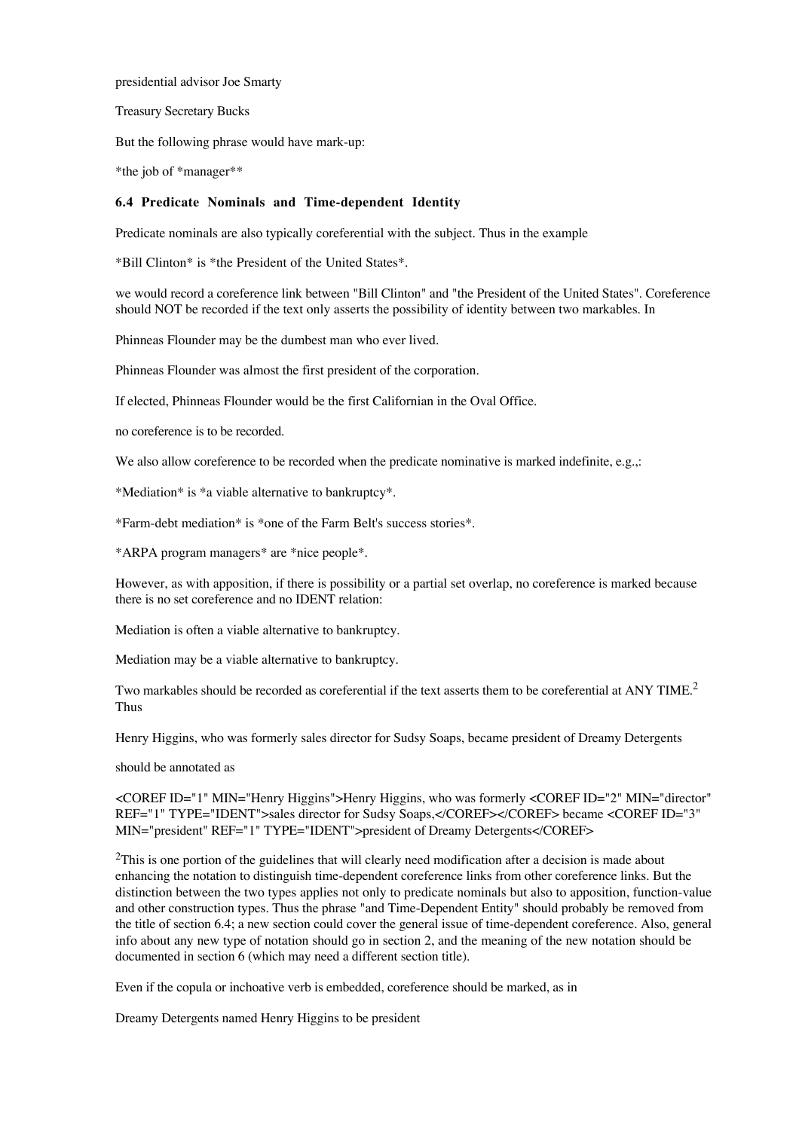presidential advisor Joe Smarty

Treasury Secretary Bucks

But the following phrase would have mark-up:

\*the job of \*manager\*\*

#### **6.4 Predicate Nominals and Time-dependent Identity**

Predicate nominals are also typically coreferential with the subject. Thus in the example

\*Bill Clinton\* is \*the President of the United States\*.

we would record a coreference link between "Bill Clinton" and "the President of the United States". Coreference should NOT be recorded if the text only asserts the possibility of identity between two markables. In

Phinneas Flounder may be the dumbest man who ever lived.

Phinneas Flounder was almost the first president of the corporation.

If elected, Phinneas Flounder would be the first Californian in the Oval Office.

no coreference is to be recorded.

We also allow coreference to be recorded when the predicate nominative is marked indefinite, e.g.,:

\*Mediation\* is \*a viable alternative to bankruptcy\*.

\*Farm-debt mediation\* is \*one of the Farm Belt's success stories\*.

\*ARPA program managers\* are \*nice people\*.

However, as with apposition, if there is possibility or a partial set overlap, no coreference is marked because there is no set coreference and no IDENT relation:

Mediation is often a viable alternative to bankruptcy.

Mediation may be a viable alternative to bankruptcy.

Two markables should be recorded as coreferential if the text asserts them to be coreferential at ANY TIME.<sup>2</sup> Thus

Henry Higgins, who was formerly sales director for Sudsy Soaps, became president of Dreamy Detergents

should be annotated as

<COREF ID="1" MIN="Henry Higgins">Henry Higgins, who was formerly <COREF ID="2" MIN="director" REF="1" TYPE="IDENT">sales director for Sudsy Soaps,</COREF></COREF> became <COREF ID="3" MIN="president" REF="1" TYPE="IDENT">president of Dreamy Detergents</COREF>

<sup>2</sup>This is one portion of the guidelines that will clearly need modification after a decision is made about enhancing the notation to distinguish time-dependent coreference links from other coreference links. But the distinction between the two types applies not only to predicate nominals but also to apposition, function-value and other construction types. Thus the phrase "and Time-Dependent Entity" should probably be removed from the title of section 6.4; a new section could cover the general issue of time-dependent coreference. Also, general info about any new type of notation should go in section 2, and the meaning of the new notation should be documented in section 6 (which may need a different section title).

Even if the copula or inchoative verb is embedded, coreference should be marked, as in

Dreamy Detergents named Henry Higgins to be president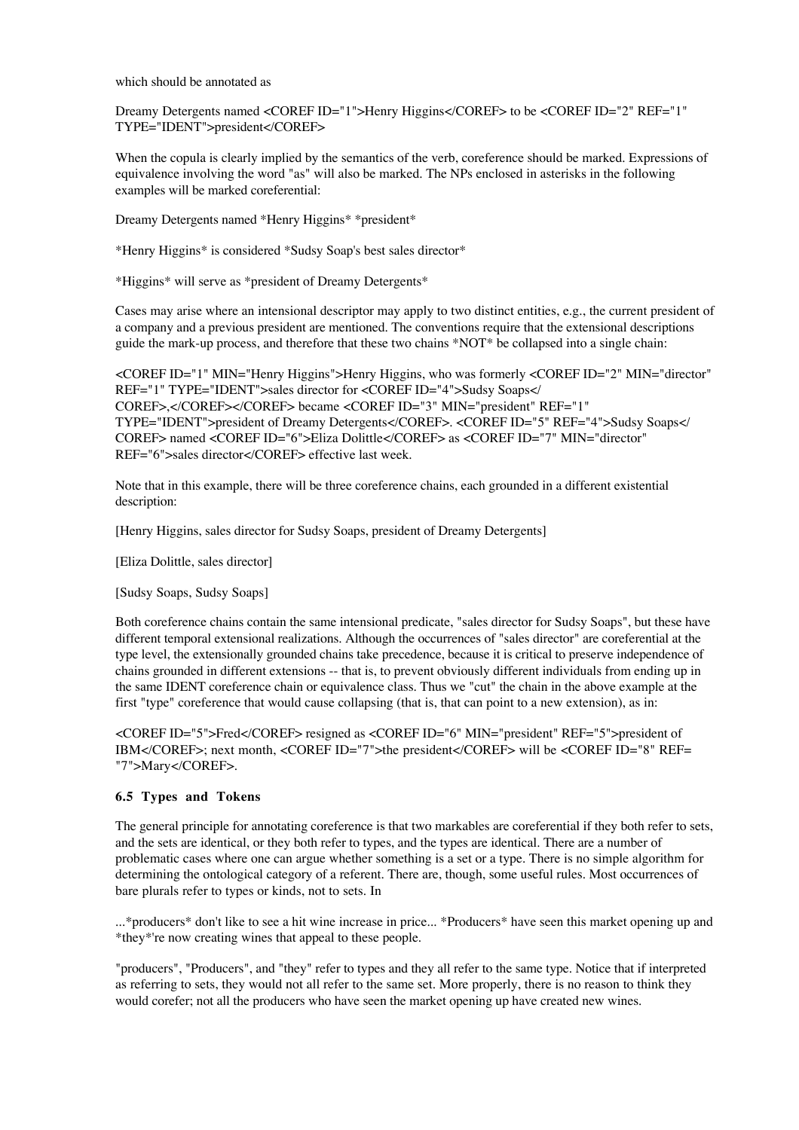which should be annotated as

Dreamy Detergents named <COREF ID="1">Henry Higgins</COREF> to be <COREF ID="2" REF="1" TYPE="IDENT">president</COREF>

When the copula is clearly implied by the semantics of the verb, coreference should be marked. Expressions of equivalence involving the word "as" will also be marked. The NPs enclosed in asterisks in the following examples will be marked coreferential:

Dreamy Detergents named \*Henry Higgins\* \*president\*

\*Henry Higgins\* is considered \*Sudsy Soap's best sales director\*

\*Higgins\* will serve as \*president of Dreamy Detergents\*

Cases may arise where an intensional descriptor may apply to two distinct entities, e.g., the current president of a company and a previous president are mentioned. The conventions require that the extensional descriptions guide the mark-up process, and therefore that these two chains \*NOT\* be collapsed into a single chain:

<COREF ID="1" MIN="Henry Higgins">Henry Higgins, who was formerly <COREF ID="2" MIN="director" REF="1" TYPE="IDENT">sales director for <COREF ID="4">Sudsy Soaps</ COREF>,</COREF></COREF> became <COREF ID="3" MIN="president" REF="1" TYPE="IDENT">president of Dreamy Detergents</COREF>. <COREF ID="5" REF="4">Sudsy Soaps</ COREF> named <COREF ID="6">Eliza Dolittle</COREF> as <COREF ID="7" MIN="director" REF="6">sales director</COREF> effective last week.

Note that in this example, there will be three coreference chains, each grounded in a different existential description:

[Henry Higgins, sales director for Sudsy Soaps, president of Dreamy Detergents]

[Eliza Dolittle, sales director]

[Sudsy Soaps, Sudsy Soaps]

Both coreference chains contain the same intensional predicate, "sales director for Sudsy Soaps", but these have different temporal extensional realizations. Although the occurrences of "sales director" are coreferential at the type level, the extensionally grounded chains take precedence, because it is critical to preserve independence of chains grounded in different extensions -- that is, to prevent obviously different individuals from ending up in the same IDENT coreference chain or equivalence class. Thus we "cut" the chain in the above example at the first "type" coreference that would cause collapsing (that is, that can point to a new extension), as in:

<COREF ID="5">Fred</COREF> resigned as <COREF ID="6" MIN="president" REF="5">president of IBM</COREF>; next month, <COREF ID="7">the president</COREF> will be <COREF ID="8" REF= "7">Mary</COREF>.

## **6.5 Types and Tokens**

The general principle for annotating coreference is that two markables are coreferential if they both refer to sets, and the sets are identical, or they both refer to types, and the types are identical. There are a number of problematic cases where one can argue whether something is a set or a type. There is no simple algorithm for determining the ontological category of a referent. There are, though, some useful rules. Most occurrences of bare plurals refer to types or kinds, not to sets. In

...\*producers\* don't like to see a hit wine increase in price... \*Producers\* have seen this market opening up and \*they\*'re now creating wines that appeal to these people.

"producers", "Producers", and "they" refer to types and they all refer to the same type. Notice that if interpreted as referring to sets, they would not all refer to the same set. More properly, there is no reason to think they would corefer; not all the producers who have seen the market opening up have created new wines.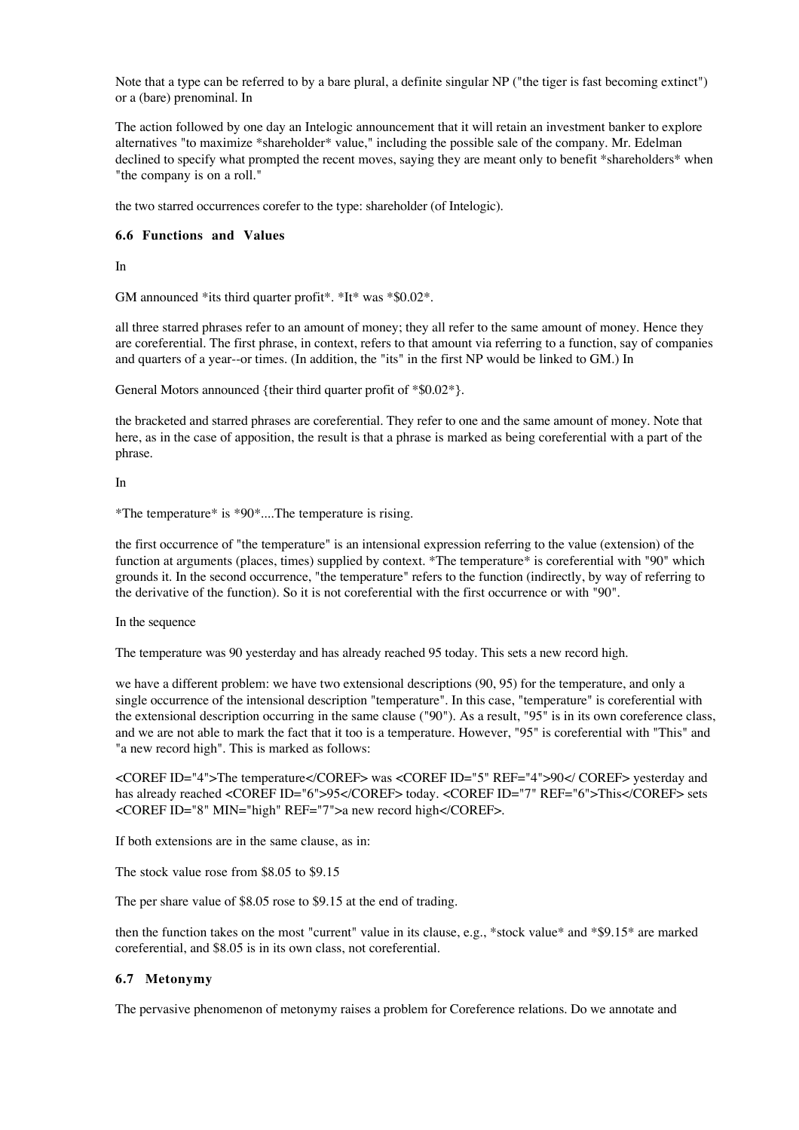Note that a type can be referred to by a bare plural, a definite singular NP ("the tiger is fast becoming extinct") or a (bare) prenominal. In

The action followed by one day an Intelogic announcement that it will retain an investment banker to explore alternatives "to maximize \*shareholder\* value," including the possible sale of the company. Mr. Edelman declined to specify what prompted the recent moves, saying they are meant only to benefit \*shareholders\* when "the company is on a roll."

the two starred occurrences corefer to the type: shareholder (of Intelogic).

## **6.6 Functions and Values**

In

GM announced \*its third quarter profit\*. \*It\* was \*\$0.02\*.

all three starred phrases refer to an amount of money; they all refer to the same amount of money. Hence they are coreferential. The first phrase, in context, refers to that amount via referring to a function, say of companies and quarters of a year--or times. (In addition, the "its" in the first NP would be linked to GM.) In

General Motors announced {their third quarter profit of \*\$0.02\*}.

the bracketed and starred phrases are coreferential. They refer to one and the same amount of money. Note that here, as in the case of apposition, the result is that a phrase is marked as being coreferential with a part of the phrase.

## In

\*The temperature\* is \*90\*....The temperature is rising.

the first occurrence of "the temperature" is an intensional expression referring to the value (extension) of the function at arguments (places, times) supplied by context. \*The temperature\* is coreferential with "90" which grounds it. In the second occurrence, "the temperature" refers to the function (indirectly, by way of referring to the derivative of the function). So it is not coreferential with the first occurrence or with "90".

## In the sequence

The temperature was 90 yesterday and has already reached 95 today. This sets a new record high.

we have a different problem: we have two extensional descriptions (90, 95) for the temperature, and only a single occurrence of the intensional description "temperature". In this case, "temperature" is coreferential with the extensional description occurring in the same clause ("90"). As a result, "95" is in its own coreference class, and we are not able to mark the fact that it too is a temperature. However, "95" is coreferential with "This" and "a new record high". This is marked as follows:

<COREF ID="4">The temperature</COREF> was <COREF ID="5" REF="4">90</ COREF> yesterday and has already reached <COREF ID="6">95</COREF> today. <COREF ID="7" REF="6">This</COREF> sets <COREF ID="8" MIN="high" REF="7">a new record high</COREF>.

If both extensions are in the same clause, as in:

The stock value rose from \$8.05 to \$9.15

The per share value of \$8.05 rose to \$9.15 at the end of trading.

then the function takes on the most "current" value in its clause, e.g., \*stock value\* and \*\$9.15\* are marked coreferential, and \$8.05 is in its own class, not coreferential.

## **6.7 Metonymy**

The pervasive phenomenon of metonymy raises a problem for Coreference relations. Do we annotate and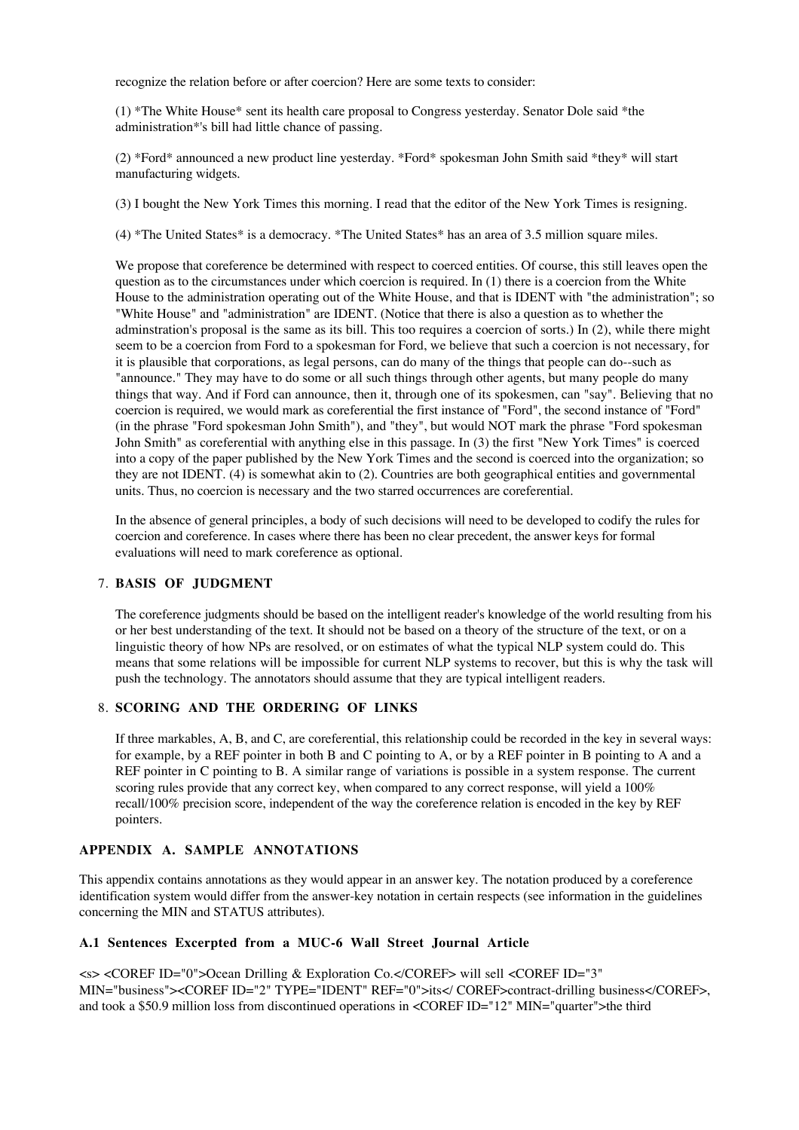recognize the relation before or after coercion? Here are some texts to consider:

(1) \*The White House\* sent its health care proposal to Congress yesterday. Senator Dole said \*the administration\*'s bill had little chance of passing.

(2) \*Ford\* announced a new product line yesterday. \*Ford\* spokesman John Smith said \*they\* will start manufacturing widgets.

(3) I bought the New York Times this morning. I read that the editor of the New York Times is resigning.

(4) \*The United States\* is a democracy. \*The United States\* has an area of 3.5 million square miles.

We propose that coreference be determined with respect to coerced entities. Of course, this still leaves open the question as to the circumstances under which coercion is required. In (1) there is a coercion from the White House to the administration operating out of the White House, and that is IDENT with "the administration"; so "White House" and "administration" are IDENT. (Notice that there is also a question as to whether the adminstration's proposal is the same as its bill. This too requires a coercion of sorts.) In (2), while there might seem to be a coercion from Ford to a spokesman for Ford, we believe that such a coercion is not necessary, for it is plausible that corporations, as legal persons, can do many of the things that people can do--such as "announce." They may have to do some or all such things through other agents, but many people do many things that way. And if Ford can announce, then it, through one of its spokesmen, can "say". Believing that no coercion is required, we would mark as coreferential the first instance of "Ford", the second instance of "Ford" (in the phrase "Ford spokesman John Smith"), and "they", but would NOT mark the phrase "Ford spokesman John Smith" as coreferential with anything else in this passage. In (3) the first "New York Times" is coerced into a copy of the paper published by the New York Times and the second is coerced into the organization; so they are not IDENT. (4) is somewhat akin to (2). Countries are both geographical entities and governmental units. Thus, no coercion is necessary and the two starred occurrences are coreferential.

In the absence of general principles, a body of such decisions will need to be developed to codify the rules for coercion and coreference. In cases where there has been no clear precedent, the answer keys for formal evaluations will need to mark coreference as optional.

## **BASIS OF JUDGMENT** 7.

The coreference judgments should be based on the intelligent reader's knowledge of the world resulting from his or her best understanding of the text. It should not be based on a theory of the structure of the text, or on a linguistic theory of how NPs are resolved, or on estimates of what the typical NLP system could do. This means that some relations will be impossible for current NLP systems to recover, but this is why the task will push the technology. The annotators should assume that they are typical intelligent readers.

## **SCORING AND THE ORDERING OF LINKS** 8.

If three markables, A, B, and C, are coreferential, this relationship could be recorded in the key in several ways: for example, by a REF pointer in both B and C pointing to A, or by a REF pointer in B pointing to A and a REF pointer in C pointing to B. A similar range of variations is possible in a system response. The current scoring rules provide that any correct key, when compared to any correct response, will yield a 100% recall/100% precision score, independent of the way the coreference relation is encoded in the key by REF pointers.

# **APPENDIX A. SAMPLE ANNOTATIONS**

This appendix contains annotations as they would appear in an answer key. The notation produced by a coreference identification system would differ from the answer-key notation in certain respects (see information in the guidelines concerning the MIN and STATUS attributes).

#### **A.1 Sentences Excerpted from a MUC-6 Wall Street Journal Article**

<s> <COREF ID="0">Ocean Drilling & Exploration Co.</COREF> will sell <COREF ID="3" MIN="business"><COREF ID="2" TYPE="IDENT" REF="0">its</ COREF>contract-drilling business</COREF>, and took a \$50.9 million loss from discontinued operations in <COREF ID="12" MIN="quarter">the third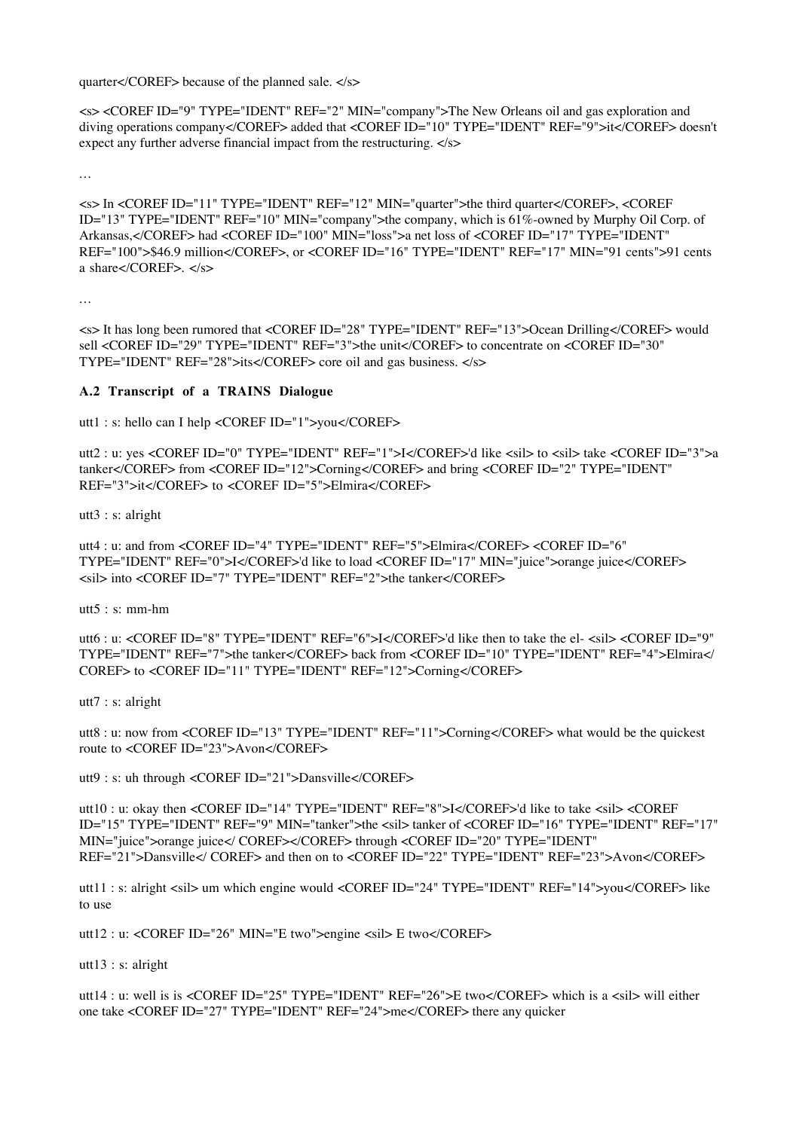quarter</COREF> because of the planned sale. </s>

<s> <COREF ID="9" TYPE="IDENT" REF="2" MIN="company">The New Orleans oil and gas exploration and diving operations company</COREF> added that <COREF ID="10" TYPE="IDENT" REF="9">it</COREF> doesn't expect any further adverse financial impact from the restructuring. </s>

...

<s> In <COREF ID="11" TYPE="IDENT" REF="12" MIN="quarter">the third quarter</COREF>, <COREF ID="13" TYPE="IDENT" REF="10" MIN="company">the company, which is 61%-owned by Murphy Oil Corp. of Arkansas,</COREF> had <COREF ID="100" MIN="loss">a net loss of <COREF ID="17" TYPE="IDENT" REF="100">\$46.9 million</COREF>, or <COREF ID="16" TYPE="IDENT" REF="17" MIN="91 cents">91 cents a share</COREF>. </s>

...

<s> It has long been rumored that <COREF ID="28" TYPE="IDENT" REF="13">Ocean Drilling</COREF> would sell <COREF ID="29" TYPE="IDENT" REF="3">the unit</COREF> to concentrate on <COREF ID="30" TYPE="IDENT" REF="28">its</COREF> core oil and gas business. </s>

# **A.2 Transcript of a TRAINS Dialogue**

utt1 : s: hello can I help <COREF ID="1">you</COREF>

utt2 : u: yes <COREF ID="0" TYPE="IDENT" REF="1">I</COREF>'d like <sil> to <sil> take <COREF ID="3">a tanker</COREF> from <COREF ID="12">Corning</COREF> and bring <COREF ID="2" TYPE="IDENT" REF="3">it</COREF> to <COREF ID="5">Elmira</COREF>

utt3 : s: alright

utt4 : u: and from <COREF ID="4" TYPE="IDENT" REF="5">Elmira</COREF> <COREF ID="6" TYPE="IDENT" REF="0">I</COREF>'d like to load <COREF ID="17" MIN="juice">orange juice</COREF> <sil> into <COREF ID="7" TYPE="IDENT" REF="2">the tanker</COREF>

utt5 : s: mm-hm

utt6 : u: <COREF ID="8" TYPE="IDENT" REF="6">I</COREF>'d like then to take the el- <sil> <COREF ID="9" TYPE="IDENT" REF="7">the tanker</COREF> back from <COREF ID="10" TYPE="IDENT" REF="4">Elmira</ COREF> to <COREF ID="11" TYPE="IDENT" REF="12">Corning</COREF>

utt7 : s: alright

utt8 : u: now from <COREF ID="13" TYPE="IDENT" REF="11">Corning</COREF> what would be the quickest route to <COREF ID="23">Avon</COREF>

utt9 : s: uh through <COREF ID="21">Dansville</COREF>

utt10 : u: okay then <COREF ID="14" TYPE="IDENT" REF="8">I</COREF>'d like to take <sil> <COREF ID="15" TYPE="IDENT" REF="9" MIN="tanker">the <sil> tanker of <COREF ID="16" TYPE="IDENT" REF="17" MIN="juice">orange juice</ COREF></COREF> through <COREF ID="20" TYPE="IDENT" REF="21">Dansville</ COREF> and then on to <COREF ID="22" TYPE="IDENT" REF="23">Avon</COREF>

utt11 : s: alright <sil> um which engine would <COREF ID="24" TYPE="IDENT" REF="14">you</COREF> like to use

utt12 : u: <COREF ID="26" MIN="E two">engine <sil> E two</COREF>

utt13 : s: alright

utt14 : u: well is is <COREF ID="25" TYPE="IDENT" REF="26">E two</COREF> which is a <sil> will either one take <COREF ID="27" TYPE="IDENT" REF="24">me</COREF> there any quicker